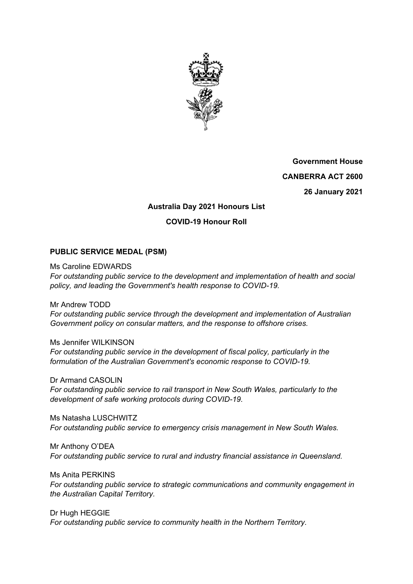

**Government House CANBERRA ACT 2600 26 January 2021** 

# **Australia Day 2021 Honours List**

### **COVID-19 Honour Roll**

#### **PUBLIC SERVICE MEDAL (PSM)**

Ms Caroline EDWARDS *For outstanding public service to the development and implementation of health and social policy, and leading the Government's health response to COVID-19.* 

Mr Andrew TODD *For outstanding public service through the development and implementation of Australian Government policy on consular matters, and the response to offshore crises.* 

Ms Jennifer WILKINSON *For outstanding public service in the development of fiscal policy, particularly in the formulation of the Australian Government's economic response to COVID-19.* 

Dr Armand CASOLIN *For outstanding public service to rail transport in New South Wales, particularly to the development of safe working protocols during COVID-19.* 

Ms Natasha LUSCHWITZ *For outstanding public service to emergency crisis management in New South Wales.* 

Mr Anthony O'DEA *For outstanding public service to rural and industry financial assistance in Queensland.* 

Ms Anita PERKINS *For outstanding public service to strategic communications and community engagement in the Australian Capital Territory.* 

Dr Hugh HEGGIE *For outstanding public service to community health in the Northern Territory.*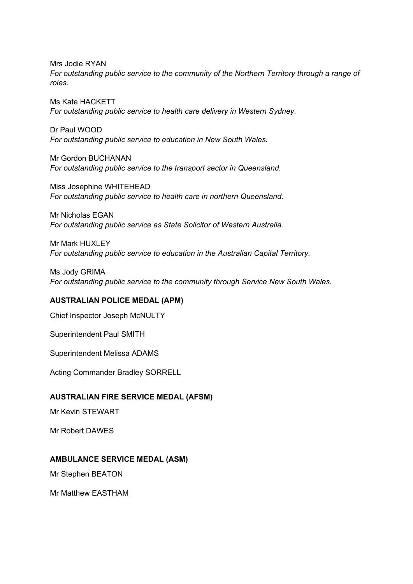Mrs Jodie RYAN *For outstanding public service to the community of the Northern Territory through a range of roles.* 

Ms Kate HACKETT *For outstanding public service to health care delivery in Western Sydney.* 

Dr Paul WOOD *For outstanding public service to education in New South Wales.* 

Mr Gordon BUCHANAN *For outstanding public service to the transport sector in Queensland.* 

Miss Josephine WHITEHEAD *For outstanding public service to health care in northern Queensland.* 

Mr Nicholas EGAN *For outstanding public service as State Solicitor of Western Australia.*

Mr Mark HUXLEY *For outstanding public service to education in the Australian Capital Territory.* 

Ms Jody GRIMA *For outstanding public service to the community through Service New South Wales.* 

#### **AUSTRALIAN POLICE MEDAL (APM)**

Chief Inspector Joseph McNULTY

Superintendent Paul SMITH

Superintendent Melissa ADAMS

Acting Commander Bradley SORRELL

#### **AUSTRALIAN FIRE SERVICE MEDAL (AFSM)**

Mr Kevin STEWART

Mr Robert DAWES

#### **AMBULANCE SERVICE MEDAL (ASM)**

Mr Stephen BEATON

Mr Matthew EASTHAM